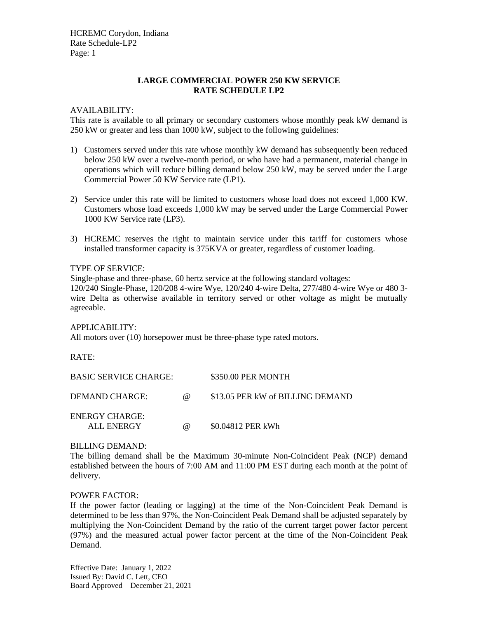HCREMC Corydon, Indiana Rate Schedule-LP2 Page: 1

# **LARGE COMMERCIAL POWER 250 KW SERVICE RATE SCHEDULE LP2**

#### AVAILABILITY:

This rate is available to all primary or secondary customers whose monthly peak kW demand is 250 kW or greater and less than 1000 kW, subject to the following guidelines:

- 1) Customers served under this rate whose monthly kW demand has subsequently been reduced below 250 kW over a twelve-month period, or who have had a permanent, material change in operations which will reduce billing demand below 250 kW, may be served under the Large Commercial Power 50 KW Service rate (LP1).
- 2) Service under this rate will be limited to customers whose load does not exceed 1,000 KW. Customers whose load exceeds 1,000 kW may be served under the Large Commercial Power 1000 KW Service rate (LP3).
- 3) HCREMC reserves the right to maintain service under this tariff for customers whose installed transformer capacity is 375KVA or greater, regardless of customer loading.

#### TYPE OF SERVICE:

Single-phase and three-phase, 60 hertz service at the following standard voltages:

120/240 Single-Phase, 120/208 4-wire Wye, 120/240 4-wire Delta, 277/480 4-wire Wye or 480 3 wire Delta as otherwise available in territory served or other voltage as might be mutually agreeable.

#### APPLICABILITY:

All motors over (10) horsepower must be three-phase type rated motors.

RATE:

| <b>BASIC SERVICE CHARGE:</b>        |          | \$350.00 PER MONTH               |
|-------------------------------------|----------|----------------------------------|
| DEMAND CHARGE:                      | $\omega$ | \$13.05 PER kW of BILLING DEMAND |
| <b>ENERGY CHARGE:</b><br>ALL ENERGY | $\omega$ | \$0.04812 PER kWh                |

#### BILLING DEMAND:

The billing demand shall be the Maximum 30-minute Non-Coincident Peak (NCP) demand established between the hours of 7:00 AM and 11:00 PM EST during each month at the point of delivery.

# POWER FACTOR:

If the power factor (leading or lagging) at the time of the Non-Coincident Peak Demand is determined to be less than 97%, the Non-Coincident Peak Demand shall be adjusted separately by multiplying the Non-Coincident Demand by the ratio of the current target power factor percent (97%) and the measured actual power factor percent at the time of the Non-Coincident Peak Demand.

Effective Date: January 1, 2022 Issued By: David C. Lett, CEO Board Approved – December 21, 2021